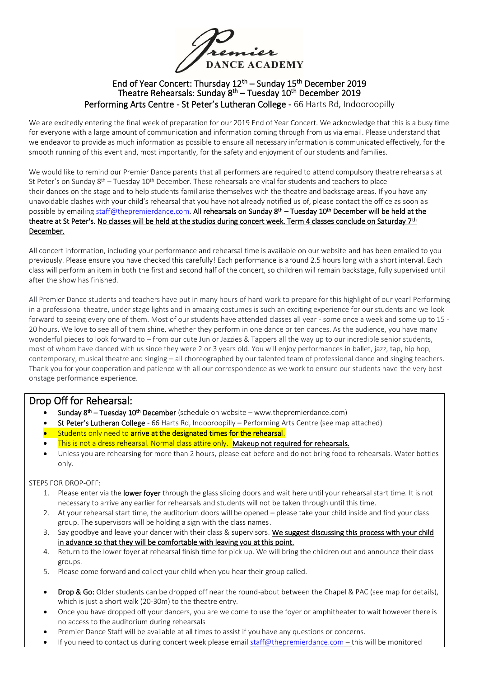rier **DANCE ACADEMY** 

### End of Year Concert: Thursday  $12<sup>th</sup>$  – Sunday  $15<sup>th</sup>$  December 2019 Theatre Rehearsals: Sunday 8<sup>th</sup> – Tuesday 10<sup>th</sup> December 2019 Performing Arts Centre - St Peter's Lutheran College - 66 Harts Rd, Indooroopilly

We are excitedly entering the final week of preparation for our 2019 End of Year Concert. We acknowledge that this is a busy time for everyone with a large amount of communication and information coming through from us via email. Please understand that we endeavor to provide as much information as possible to ensure all necessary information is communicated effectively, for the smooth running of this event and, most importantly, for the safety and enjoyment of our students and families.

We would like to remind our Premier Dance parents that all performers are required to attend compulsory theatre rehearsals at St Peter's on Sunday 8<sup>th</sup> – Tuesday 10<sup>th</sup> December. These rehearsals are vital for students and teachers to place their dances on the stage and to help students familiarise themselves with the theatre and backstage areas. If you have any unavoidable clashes with your child's rehearsal that you have not already notified us of, please contact the office as soon as possible by emailin[g staff@thepremierdance.com.](mailto:staff@thepremierdance.com) All rehearsals on Sunday 8<sup>th</sup> – Tuesday 10<sup>th</sup> December will be held at the theatre at St Peter's. <u>No classes will be held at the studios during concert week. Term 4 classes conclude on Saturday 7<sup>th</sup></u> December.

All concert information, including your performance and rehearsal time is available on our website and has been emailed to you previously. Please ensure you have checked this carefully! Each performance is around 2.5 hours long with a short interval. Each class will perform an item in both the first and second half of the concert, so children will remain backstage, fully supervised until after the show has finished.

All Premier Dance students and teachers have put in many hours of hard work to prepare for this highlight of our year! Performing in a professional theatre, under stage lights and in amazing costumes is such an exciting experience for our students and we look forward to seeing every one of them. Most of our students have attended classes all year - some once a week and some up to 15 - 20 hours. We love to see all of them shine, whether they perform in one dance or ten dances. As the audience, you have many wonderful pieces to look forward to – from our cute Junior Jazzies & Tappers all the way up to our incredible senior students, most of whom have danced with us since they were 2 or 3 years old. You will enjoy performances in ballet, jazz, tap, hip hop, contemporary, musical theatre and singing – all choreographed by our talented team of professional dance and singing teachers. Thank you for your cooperation and patience with all our correspondence as we work to ensure our students have the very best onstage performance experience.

# Drop Off for Rehearsal:

- Sunday 8<sup>th</sup> Tuesday 10<sup>th</sup> December (schedule on website www.thepremierdance.com)
- St Peter's Lutheran College 66 Harts Rd, Indooroopilly Performing Arts Centre (see map attached)
- **Students only need to arrive at the designated times for the rehearsal.**
- This is not a dress rehearsal. Normal class attire only. Makeup not required for rehearsals.
- Unless you are rehearsing for more than 2 hours, please eat before and do not bring food to rehearsals. Water bottles only.

#### STEPS FOR DROP-OFF:

- 1. Please enter via the lower foyer through the glass sliding doors and wait here until your rehearsal start time. It is not necessary to arrive any earlier for rehearsals and students will not be taken through until this time.
- 2. At your rehearsal start time, the auditorium doors will be opened please take your child inside and find your class group. The supervisors will be holding a sign with the class names.
- 3. Say goodbye and leave your dancer with their class & supervisors. We suggest discussing this process with your child in advance so that they will be comfortable with leaving you at this point.
- 4. Return to the lower foyer at rehearsal finish time for pick up. We will bring the children out and announce their class groups.
- 5. Please come forward and collect your child when you hear their group called.
- Drop & Go: Older students can be dropped off near the round-about between the Chapel & PAC (see map for details), which is just a short walk (20-30m) to the theatre entry.
- Once you have dropped off your dancers, you are welcome to use the foyer or amphitheater to wait however there is no access to the auditorium during rehearsals
- Premier Dance Staff will be available at all times to assist if you have any questions or concerns.
- If you need to contact us during concert week please email [staff@thepremierdance.com](mailto:staff@thepremierdance.com) this will be monitored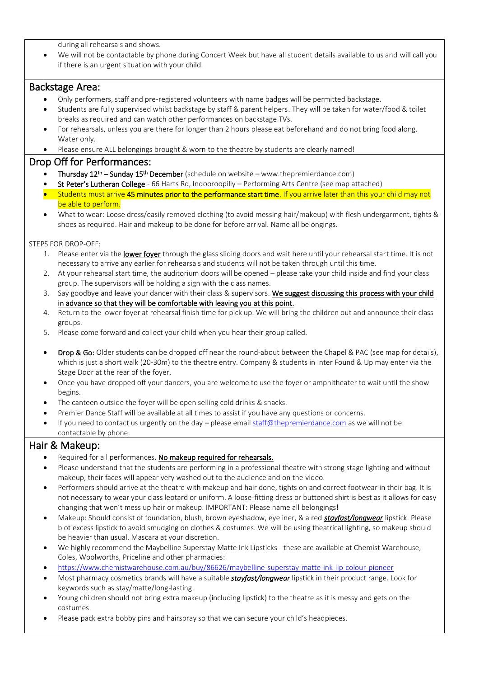during all rehearsals and shows.

• We will not be contactable by phone during Concert Week but have all student details available to us and will call you if there is an urgent situation with your child.

## Backstage Area:

- Only performers, staff and pre-registered volunteers with name badges will be permitted backstage.
- Students are fully supervised whilst backstage by staff & parent helpers. They will be taken for water/food & toilet breaks as required and can watch other performances on backstage TVs.
- For rehearsals, unless you are there for longer than 2 hours please eat beforehand and do not bring food along. Water only
- Please ensure ALL belongings brought & worn to the theatre by students are clearly named!

## Drop Off for Performances:

- Thursday 12<sup>th</sup> Sunday 15<sup>th</sup> December (schedule on website www.thepremierdance.com)
- St Peter's Lutheran College 66 Harts Rd, Indooroopilly Performing Arts Centre (see map attached)
- Students must arrive 45 minutes prior to the performance start time. If you arrive later than this your child may not be able to perform.
- What to wear: Loose dress/easily removed clothing (to avoid messing hair/makeup) with flesh undergarment, tights & shoes as required. Hair and makeup to be done for before arrival. Name all belongings.

STEPS FOR DROP-OFF:

- 1. Please enter via the lower foyer through the glass sliding doors and wait here until your rehearsal start time. It is not necessary to arrive any earlier for rehearsals and students will not be taken through until this time.
- 2. At your rehearsal start time, the auditorium doors will be opened please take your child inside and find your class group. The supervisors will be holding a sign with the class names.
- 3. Say goodbye and leave your dancer with their class & supervisors. We suggest discussing this process with your child in advance so that they will be comfortable with leaving you at this point.
- 4. Return to the lower foyer at rehearsal finish time for pick up. We will bring the children out and announce their class groups.
- 5. Please come forward and collect your child when you hear their group called.
- **Drop & Go:** Older students can be dropped off near the round-about between the Chapel & PAC (see map for details), which is just a short walk (20-30m) to the theatre entry. Company & students in Inter Found & Up may enter via the Stage Door at the rear of the foyer.
- Once you have dropped off your dancers, you are welcome to use the foyer or amphitheater to wait until the show begins.
- The canteen outside the foyer will be open selling cold drinks & snacks.
- Premier Dance Staff will be available at all times to assist if you have any questions or concerns.
- If you need to contact us urgently on the day please email [staff@thepremierdance.com](mailto:staff@thepremierdance.com) as we will not be contactable by phone.

# Hair & Makeup:

- Required for all performances. No makeup required for rehearsals.
- Please understand that the students are performing in a professional theatre with strong stage lighting and without makeup, their faces will appear very washed out to the audience and on the video.
- Performers should arrive at the theatre with makeup and hair done, tights on and correct footwear in their bag. It is not necessary to wear your class leotard or uniform. A loose-fitting dress or buttoned shirt is best as it allows for easy changing that won't mess up hair or makeup. IMPORTANT: Please name all belongings!
- Makeup: Should consist of foundation, blush, brown eyeshadow, eyeliner, & a red *stayfast/longwear* lipstick. Please blot excess lipstick to avoid smudging on clothes & costumes. We will be using theatrical lighting, so makeup should be heavier than usual. Mascara at your discretion.
- We highly recommend the Maybelline Superstay Matte Ink Lipsticks these are available at Chemist Warehouse, Coles, Woolworths, Priceline and other pharmacies:
- <https://www.chemistwarehouse.com.au/buy/86626/maybelline-superstay-matte-ink-lip-colour-pioneer>
- Most pharmacy cosmetics brands will have a suitable *stayfast/longwear* lipstick in their product range. Look for keywords such as stay/matte/long-lasting.
- Young children should not bring extra makeup (including lipstick) to the theatre as it is messy and gets on the costumes.
- Please pack extra bobby pins and hairspray so that we can secure your child's headpieces.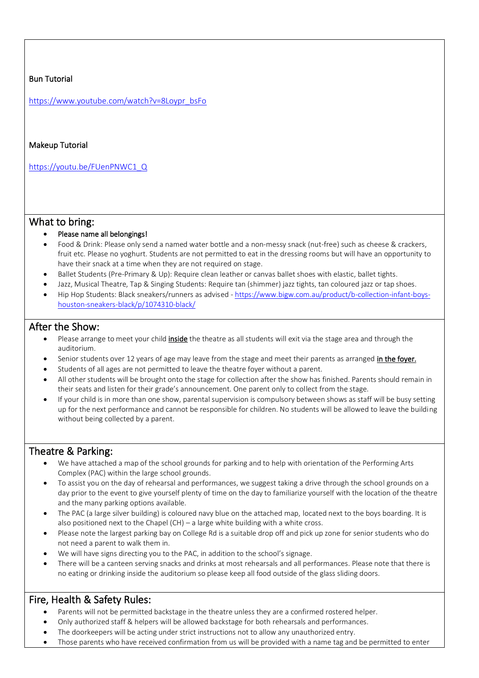#### Bun Tutorial

[https://www.youtube.com/watch?v=8Loypr\\_bsFo](https://www.youtube.com/watch?v=8Loypr_bsFo)

#### Makeup Tutorial

https://youtu.be/FUenPNWC1\_Q

#### What to bring:

- Please name all belongings!
- Food & Drink: Please only send a named water bottle and a non-messy snack (nut-free) such as cheese & crackers, fruit etc. Please no yoghurt. Students are not permitted to eat in the dressing rooms but will have an opportunity to have their snack at a time when they are not required on stage.
- Ballet Students (Pre-Primary & Up): Require clean leather or canvas ballet shoes with elastic, ballet tights.
- Jazz, Musical Theatre, Tap & Singing Students: Require tan (shimmer) jazz tights, tan coloured jazz or tap shoes.
- Hip Hop Students: Black sneakers/runners as advised [https://www.bigw.com.au/product/b-collection-infant-boys](https://www.bigw.com.au/product/b-collection-infant-boys-houston-sneakers-black/p/1074310-black/)[houston-sneakers-black/p/1074310-black/](https://www.bigw.com.au/product/b-collection-infant-boys-houston-sneakers-black/p/1074310-black/)

#### After the Show:

- Please arrange to meet your child inside the theatre as all students will exit via the stage area and through the auditorium.
- Senior students over 12 years of age may leave from the stage and meet their parents as arranged in the foyer.
- Students of all ages are not permitted to leave the theatre foyer without a parent.
- All other students will be brought onto the stage for collection after the show has finished. Parents should remain in their seats and listen for their grade's announcement. One parent only to collect from the stage.
- If your child is in more than one show, parental supervision is compulsory between shows as staff will be busy setting up for the next performance and cannot be responsible for children. No students will be allowed to leave the building without being collected by a parent.

## Theatre & Parking:

- We have attached a map of the school grounds for parking and to help with orientation of the Performing Arts Complex (PAC) within the large school grounds.
- To assist you on the day of rehearsal and performances, we suggest taking a drive through the school grounds on a day prior to the event to give yourself plenty of time on the day to familiarize yourself with the location of the theatre and the many parking options available.
- The PAC (a large silver building) is coloured navy blue on the attached map, located next to the boys boarding. It is also positioned next to the Chapel (CH) – a large white building with a white cross.
- Please note the largest parking bay on College Rd is a suitable drop off and pick up zone for senior students who do not need a parent to walk them in.
- We will have signs directing you to the PAC, in addition to the school's signage.
- There will be a canteen serving snacks and drinks at most rehearsals and all performances. Please note that there is no eating or drinking inside the auditorium so please keep all food outside of the glass sliding doors.

# Fire, Health & Safety Rules:

- Parents will not be permitted backstage in the theatre unless they are a confirmed rostered helper.
- Only authorized staff & helpers will be allowed backstage for both rehearsals and performances.
- The doorkeepers will be acting under strict instructions not to allow any unauthorized entry.
- Those parents who have received confirmation from us will be provided with a name tag and be permitted to enter